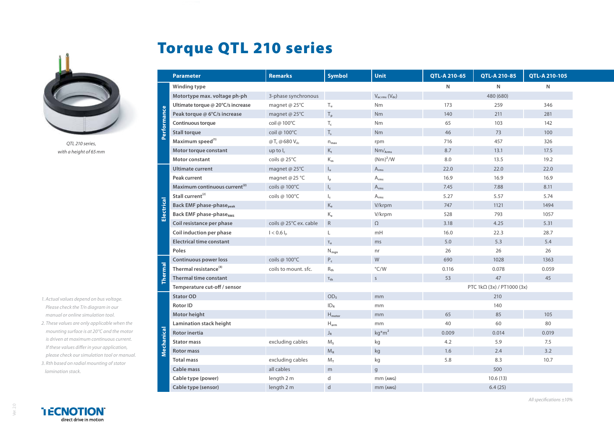

*QTL 210 series, with a height of 65mm*

- *1. Actual values depend on bus voltage. Please check the T/n diagram in our manual or online simulation tool.*
- *2. These values are only applicable when the mounting surface is at 20°C and the motor is driven at maximum continuous current. If these values differ in your application, please check our simulation tool or manual. 3. Rth based on radial mounting of stator*

## Torque QTL 210 series

|               | <b>Parameter</b>                          | <b>Remarks</b>                       | <b>Symbol</b>               | Unit                                | QTL-A 210-65               | QTL-A 210-85 | QTL-A 210-105 |
|---------------|-------------------------------------------|--------------------------------------|-----------------------------|-------------------------------------|----------------------------|--------------|---------------|
| Performance   | Winding type                              |                                      |                             |                                     | N                          | N            | N             |
|               | Motortype max. voltage ph-ph              | 3-phase synchronous                  |                             | $V_{\text{ac rms}} (V_{\text{dc}})$ |                            | 480 (680)    |               |
|               | Ultimate torque @ 20°C/s increase         | magnet @ 25°C                        | $T_{u}$                     | Nm                                  | 173                        | 259          | 346           |
|               | Peak torque @ 6°C/s increase              | magnet @ 25°C                        | $\mathsf{T}_\mathsf{p}$     | Nm                                  | 140                        | 211          | 281           |
|               | Continuous torque                         | coil @ 100°C                         | $T_c$                       | Nm                                  | 65                         | 103          | 142           |
|               | <b>Stall torque</b>                       | coil @ 100°C                         | $T_{s}$                     | <b>Nm</b>                           | 46                         | 73           | 100           |
|               | Maximum speed <sup>(1)</sup>              | @T <sub>c</sub> @680 V <sub>dc</sub> | $n_{\text{max}}$            | rpm                                 | 716                        | 457          | 326           |
|               | Motor torque constant                     | up to $I_c$                          | $\mathsf{K}_\mathsf{t}$     | $Nm/_{Arms}$                        | 8.7                        | 13.1         | 17.5          |
|               | Motor constant                            | coils @ 25°C                         | $K_m$                       | $(Nm)^2/W$                          | 8.0                        | 13.5         | 19.2          |
| ectrical<br>w | <b>Ultimate current</b>                   | magnet @ 25°C                        | $I_{u}$                     | $A_{rms}$                           | 22.0                       | 22.0         | 22.0          |
|               | Peak current                              | magnet @25 °C                        | $\mathsf{I}_{\mathsf{p}}$   | $\mathsf{A}_{\mathsf{rms}}$         | 16.9                       | 16.9         | 16.9          |
|               | Maximum continuous current <sup>(2)</sup> | coils @ 100°C                        | $\mathsf{I}_{\mathsf{c}}$   | $A_{rms}$                           | 7.45                       | 7.88         | 8.11          |
|               | Stall current <sup>(2)</sup>              | coils @ 100°C                        | $\mathsf{I}_\mathsf{s}$     | $A_{rms}$                           | 5.27                       | 5.57         | 5.74          |
|               | <b>Back EMF phase-phase</b> peak          |                                      | $K_e$                       | V/krpm                              | 747                        | 1121         | 1494          |
|               | <b>Back EMF phase-phaseRMS</b>            |                                      | $K_{\rm e}$                 | V/krpm                              | 528                        | 793          | 1057          |
|               | Coil resistance per phase                 | coils @ 25°C ex. cable               | $\mathsf R$                 | $\Omega$                            | 3.18                       | 4.25         | 5.31          |
|               | Coil induction per phase                  | $I < 0.6 I_n$                        |                             | mH                                  | 16.0                       | 22.3         | 28.7          |
|               | <b>Electrical time constant</b>           |                                      | $T_e$                       | ms                                  | 5.0                        | 5.3          | 5.4           |
|               | Poles                                     |                                      | $\mathsf{N}_{\mathsf{mgn}}$ | nr                                  | 26                         | 26           | 26            |
| hermal        | <b>Continuous power loss</b>              | coils @ 100°C                        | $\mathsf{P}_{\mathsf{c}}$   | W                                   | 690                        | 1028         | 1363          |
|               | Thermal resistance <sup>(3)</sup>         | coils to mount. sfc.                 | $R_{th}$                    | $\degree$ C/W                       | 0.116                      | 0.078        | 0.059         |
|               | <b>Thermal time constant</b>              |                                      | $\tau_{\text{th}}$          | $\mathsf{S}$                        | 53                         | 47           | 45            |
|               | Temperature cut-off / sensor              |                                      |                             |                                     | PTC 1kΩ (3x) / PT1000 (3x) |              |               |
| echanical     | <b>Stator OD</b>                          |                                      | OD <sub>s</sub>             | mm                                  |                            | 210          |               |
|               | <b>Rotor ID</b>                           |                                      | ID <sub>R</sub>             | mm                                  |                            | 140          |               |
|               | Motor height                              |                                      | $H_{\text{motor}}$          | mm                                  | 65                         | 85           | 105           |
|               | Lamination stack height                   |                                      | $\mathsf{H}_{\mathsf{arm}}$ | mm                                  | 40                         | 60           | 80            |
|               | <b>Rotor inertia</b>                      |                                      | $\mathsf{J}_\mathsf{R}$     | $kg* m2$                            | 0.009                      | 0.014        | 0.019         |
|               | <b>Stator mass</b>                        | excluding cables                     | $M_s$                       | kg                                  | 4.2                        | 5.9          | 7.5           |
|               | <b>Rotor mass</b>                         |                                      | $M_R$                       | kg                                  | 1.6                        | 2.4          | 3.2           |
|               | <b>Total mass</b>                         | excluding cables                     | $M_T$                       | kg                                  | 5.8                        | 8.3          | 10.7          |
|               | Cable mass                                | all cables                           | m                           | $\mathsf{g}$                        |                            | 500          |               |
|               | Cable type (power)                        | length 2 m                           | d                           | mm (AWG)                            |                            | 10.6(13)     |               |
|               | Cable type (sensor)                       | length 2 m                           | $\mathsf{d}$                | $mm$ ( $AWG$ )                      |                            | 6.4(25)      |               |

Ver. 2.0

*lamination stack.*

*All specifications ±10%*